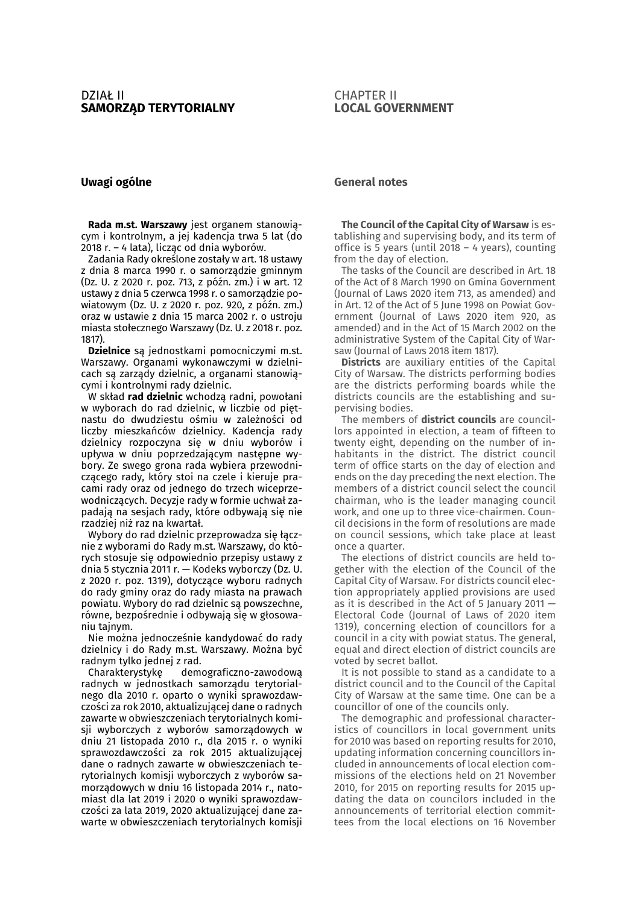## CHAPTER II **LOCAL GOVERNMENT**

## **Uwagi ogólne**

**Rada m.st. Warszawy** jest organem stanowiącym i kontrolnym, a jej kadencja trwa 5 lat (do 2018 r. – 4 lata), licząc od dnia wyborów.

Zadania Rady określone zostały w art. 18 ustawy z dnia 8 marca 1990 r. o samorządzie gminnym (Dz. U. z 2020 r. poz. 713, z późn. zm.) i w art. 12 ustawy z dnia 5 czerwca 1998 r. o samorządzie powiatowym (Dz. U. z 2020 r. poz. 920, z późn. zm.) oraz w ustawie z dnia 15 marca 2002 r. o ustroju miasta stołecznego Warszawy (Dz. U. z 2018 r. poz. 1817).

**Dzielnice** są jednostkami pomocniczymi m.st. Warszawy. Organami wykonawczymi w dzielnicach są zarządy dzielnic, a organami stanowiącymi i kontrolnymi rady dzielnic.

W skład **rad dzielnic** wchodzą radni, powołani w wyborach do rad dzielnic, w liczbie od piętnastu do dwudziestu ośmiu w zależności od liczby mieszkańców dzielnicy. Kadencja rady dzielnicy rozpoczyna się w dniu wyborów i upływa w dniu poprzedzającym następne wybory. Ze swego grona rada wybiera przewodniczącego rady, który stoi na czele i kieruje pracami rady oraz od jednego do trzech wiceprzewodniczących. Decyzje rady w formie uchwał zapadają na sesjach rady, które odbywają się nie rzadziej niż raz na kwartał.

Wybory do rad dzielnic przeprowadza się łącznie z wyborami do Rady m.st. Warszawy, do których stosuje się odpowiednio przepisy ustawy z dnia 5 stycznia 2011 r. — Kodeks wyborczy (Dz. U. z 2020 r. poz. 1319), dotyczące wyboru radnych do rady gminy oraz do rady miasta na prawach powiatu. Wybory do rad dzielnic są powszechne, równe, bezpośrednie i odbywają się w głosowaniu tajnym.

Nie można jednocześnie kandydować do rady dzielnicy i do Rady m.st. Warszawy. Można być radnym tylko jednej z rad.

Charakterystykę demograficzno-zawodową radnych w jednostkach samorządu terytorialnego dla 2010 r. oparto o wyniki sprawozdawczości za rok 2010, aktualizującej dane o radnych zawarte w obwieszczeniach terytorialnych komisji wyborczych z wyborów samorządowych w dniu 21 listopada 2010 r., dla 2015 r. o wyniki sprawozdawczości za rok 2015 aktualizującej dane o radnych zawarte w obwieszczeniach terytorialnych komisji wyborczych z wyborów samorządowych w dniu 16 listopada 2014 r., natomiast dla lat 2019 i 2020 o wyniki sprawozdawczości za lata 2019, 2020 aktualizującej dane zawarte w obwieszczeniach terytorialnych komisji

## **General notes**

**The Council of the Capital City of Warsaw** is establishing and supervising body, and its term of office is 5 years (until 2018 – 4 years), counting from the day of election.

The tasks of the Council are described in Art. 18 of the Act of 8 March 1990 on Gmina Government (Journal of Laws 2020 item 713, as amended) and in Art. 12 of the Act of 5 June 1998 on Powiat Government (Journal of Laws 2020 item 920, as amended) and in the Act of 15 March 2002 on the administrative System of the Capital City of Warsaw (Journal of Laws 2018 item 1817).

**Districts** are auxiliary entities of the Capital City of Warsaw. The districts performing bodies are the districts performing boards while the districts councils are the establishing and supervising bodies.

The members of **district councils** are councillors appointed in election, a team of fifteen to twenty eight, depending on the number of inhabitants in the district. The district council term of office starts on the day of election and ends on the day preceding the next election. The members of a district council select the council chairman, who is the leader managing council work, and one up to three vice-chairmen. Council decisions in the form of resolutions are made on council sessions, which take place at least once a quarter.

The elections of district councils are held together with the election of the Council of the Capital City of Warsaw. For districts council election appropriately applied provisions are used as it is described in the Act of 5 January 2011 — Electoral Code (Journal of Laws of 2020 item 1319), concerning election of councillors for a council in a city with powiat status. The general, equal and direct election of district councils are voted by secret ballot.

It is not possible to stand as a candidate to a district council and to the Council of the Capital City of Warsaw at the same time. One can be a councillor of one of the councils only.

The demographic and professional characteristics of councillors in local government units for 2010 was based on reporting results for 2010, updating information concerning councillors included in announcements of local election commissions of the elections held on 21 November 2010, for 2015 on reporting results for 2015 updating the data on councilors included in the announcements of territorial election committees from the local elections on 16 November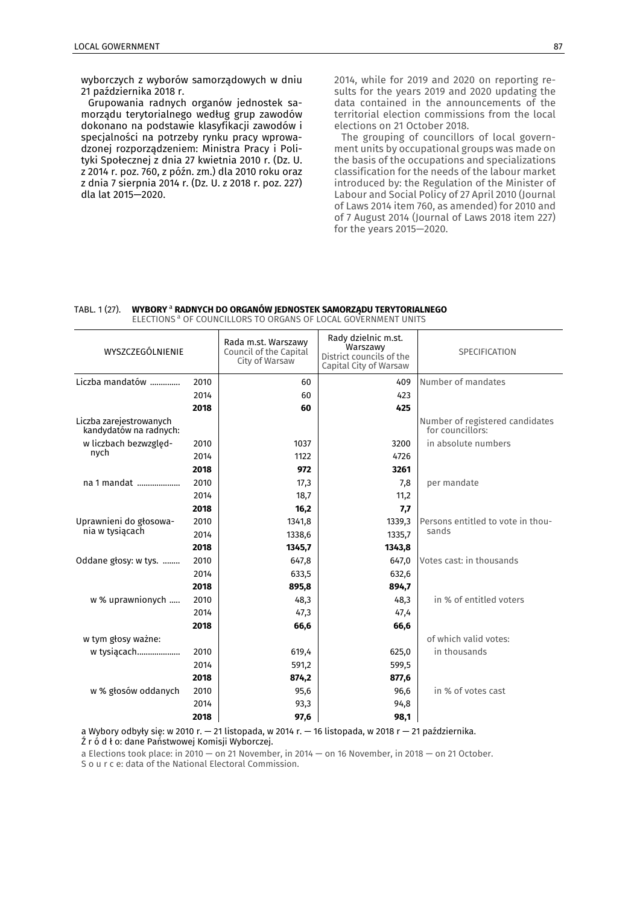wyborczych z wyborów samorządowych w dniu 21 października 2018 r.

Grupowania radnych organów jednostek samorządu terytorialnego według grup zawodów dokonano na podstawie klasyfikacji zawodów i specjalności na potrzeby rynku pracy wprowadzonej rozporządzeniem: Ministra Pracy i Polityki Społecznej z dnia 27 kwietnia 2010 r. (Dz. U. z 2014 r. poz. 760, z późn. zm.) dla 2010 roku oraz z dnia 7 sierpnia 2014 r. (Dz. U. z 2018 r. poz. 227) dla lat 2015—2020.

2014, while for 2019 and 2020 on reporting results for the years 2019 and 2020 updating the data contained in the announcements of the territorial election commissions from the local elections on 21 October 2018.

The grouping of councillors of local government units by occupational groups was made on the basis of the occupations and specializations classification for the needs of the labour market introduced by: the Regulation of the Minister of Labour and Social Policy of 27 April 2010 (Journal of Laws 2014 item 760, as amended) for 2010 and of 7 August 2014 (Journal of Laws 2018 item 227) for the years 2015—2020.

#### TABL. 1 (27). **WYBORY** a **RADNYCH DO ORGANÓW JEDNOSTEK SAMORZĄDU TERYTORIALNEGO**  ELECTIONS<sup>a</sup> OF COUNCILLORS TO ORGANS OF LOCAL GOVERNMENT UNITS

| WYSZCZEGÓLNIENIE                                  |      | Rada m.st. Warszawy<br>Council of the Capital<br>City of Warsaw | Rady dzielnic m.st.<br>Warszawy<br>District councils of the<br>Capital City of Warsaw | <b>SPECIFICATION</b>                                |  |
|---------------------------------------------------|------|-----------------------------------------------------------------|---------------------------------------------------------------------------------------|-----------------------------------------------------|--|
| Liczba mandatów<br>2010                           |      | 60                                                              | 409                                                                                   | Number of mandates                                  |  |
|                                                   | 2014 | 60                                                              | 423                                                                                   |                                                     |  |
|                                                   | 2018 | 60                                                              | 425                                                                                   |                                                     |  |
| Liczba zarejestrowanych<br>kandydatów na radnych: |      |                                                                 |                                                                                       | Number of registered candidates<br>for councillors: |  |
| w liczbach bezwzględ-                             | 2010 | 1037                                                            | 3200                                                                                  | in absolute numbers                                 |  |
| nych                                              | 2014 | 1122                                                            | 4726                                                                                  |                                                     |  |
|                                                   | 2018 | 972                                                             | 3261                                                                                  |                                                     |  |
| na 1 mandat                                       | 2010 | 17,3                                                            | 7,8                                                                                   | per mandate                                         |  |
|                                                   | 2014 | 18,7                                                            | 11,2                                                                                  |                                                     |  |
|                                                   | 2018 | 16,2                                                            | 7,7                                                                                   |                                                     |  |
| Uprawnieni do głosowa-                            | 2010 | 1341,8                                                          | 1339,3                                                                                | Persons entitled to vote in thou-                   |  |
| nia w tysiącach                                   | 2014 | 1338,6                                                          | 1335,7                                                                                | sands                                               |  |
|                                                   | 2018 | 1345,7                                                          | 1343,8                                                                                |                                                     |  |
| Oddane głosy: w tys.                              | 2010 | 647,8                                                           | 647,0                                                                                 | Votes cast: in thousands                            |  |
|                                                   | 2014 | 633,5                                                           | 632,6                                                                                 |                                                     |  |
|                                                   | 2018 | 895,8                                                           | 894,7                                                                                 |                                                     |  |
| w % uprawnionych                                  | 2010 | 48,3                                                            | 48,3                                                                                  | in % of entitled voters                             |  |
|                                                   | 2014 | 47,3                                                            | 47,4                                                                                  |                                                     |  |
|                                                   | 2018 | 66,6                                                            | 66,6                                                                                  |                                                     |  |
| w tym głosy ważne:                                |      |                                                                 |                                                                                       | of which valid votes:                               |  |
| w tysiącach                                       | 2010 | 619,4                                                           | 625,0                                                                                 | in thousands                                        |  |
|                                                   | 2014 | 591,2                                                           | 599,5                                                                                 |                                                     |  |
|                                                   | 2018 | 874,2                                                           | 877,6                                                                                 |                                                     |  |
| w % głosów oddanych                               | 2010 | 95,6                                                            | 96,6                                                                                  | in % of votes cast                                  |  |
|                                                   | 2014 | 93,3                                                            | 94,8                                                                                  |                                                     |  |
|                                                   | 2018 | 97,6                                                            | 98,1                                                                                  |                                                     |  |

a Wybory odbyły się: w 2010 r. — 21 listopada, w 2014 r. — 16 listopada, w 2018 r — 21 października.

Ź r ó d ł o: dane Państwowej Komisji Wyborczej.

a Elections took place: in 2010 — on 21 November, in 2014 — on 16 November, in 2018 — on 21 October.

S o u r c e: data of the National Electoral Commission.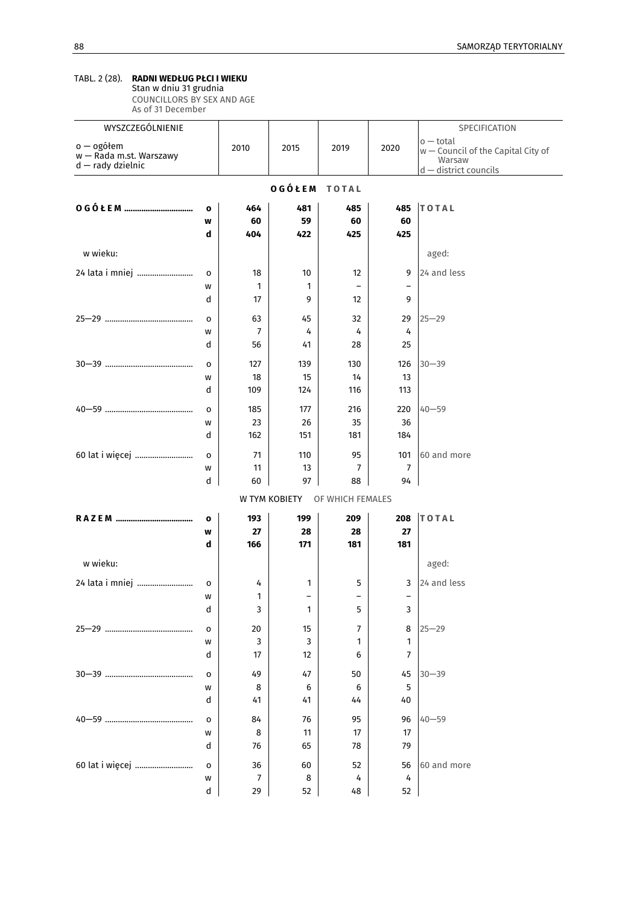### TABL. 2 (28). **RADNI WEDŁUG PŁCI I WIEKU**  Stan w dniu 31 grudnia

COUNCILLORS BY SEX AND AGE As of 31 December

| WYSZCZEGÓLNIENIE                                           |              |                      |                               |                               |                               | SPECIFICATION                                                 |  |
|------------------------------------------------------------|--------------|----------------------|-------------------------------|-------------------------------|-------------------------------|---------------------------------------------------------------|--|
| o — ogółem<br>w - Rada m.st. Warszawy<br>d - rady dzielnic |              | 2010                 | 2015                          | 2019                          | 2020                          | $o$ – total<br>$w$ – Council of the Capital City of<br>Warsaw |  |
|                                                            |              |                      |                               |                               |                               | d - district councils                                         |  |
| OGÓŁEM<br><b>TOTAL</b>                                     |              |                      |                               |                               |                               |                                                               |  |
|                                                            | $\mathbf{o}$ | 464                  | 481                           | 485                           | 485                           | <b>TOTAL</b>                                                  |  |
|                                                            | W            | 60                   | 59                            | 60                            | 60                            |                                                               |  |
|                                                            | d            | 404                  | 422                           | 425                           | 425                           |                                                               |  |
| w wieku:                                                   |              |                      |                               |                               |                               | aged:                                                         |  |
| 24 lata i mniej                                            | o            | 18                   | 10                            | 12                            | 9                             | 24 and less                                                   |  |
|                                                            | W            | 1                    | 1                             | $\overline{\phantom{0}}$      | $\overline{a}$                |                                                               |  |
|                                                            | d            | 17                   | 9                             | 12                            | 9                             |                                                               |  |
|                                                            | o            | 63                   | 45                            | 32                            | 29                            | $25 - 29$                                                     |  |
|                                                            | W            | $\overline{7}$       | 4                             | 4                             | 4                             |                                                               |  |
|                                                            | d            | 56                   | 41                            | 28                            | 25                            |                                                               |  |
|                                                            | o            | 127                  | 139                           | 130                           | 126                           | $30 - 39$                                                     |  |
|                                                            | W            | 18                   | 15                            | 14                            | 13                            |                                                               |  |
|                                                            | d            | 109                  | 124                           | 116                           | 113                           |                                                               |  |
|                                                            | o            | 185                  | 177                           | 216                           | 220                           | $40 - 59$                                                     |  |
|                                                            | W            | 23                   | 26                            | 35                            | 36                            |                                                               |  |
|                                                            | d            | 162                  | 151                           | 181                           | 184                           |                                                               |  |
| 60 lat i więcej                                            | $\circ$      | 71                   | 110                           | 95                            | 101                           | 60 and more                                                   |  |
|                                                            | W            | 11                   | 13                            | $\overline{7}$                | 7                             |                                                               |  |
|                                                            | d            | 60                   | 97                            | 88                            | 94                            |                                                               |  |
|                                                            |              |                      | W TYM KOBIETY                 | OF WHICH FEMALES              |                               |                                                               |  |
|                                                            | o            | 193                  | 199                           | 209                           | 208                           | <b>TOTAL</b>                                                  |  |
|                                                            | W            | 27                   | 28                            | 28                            | 27                            |                                                               |  |
|                                                            | d            | 166                  | 171                           | 181                           | 181                           |                                                               |  |
| w wieku:                                                   |              |                      |                               |                               |                               | aged:                                                         |  |
|                                                            |              |                      |                               |                               |                               |                                                               |  |
| 24 lata i mniej                                            | $\mathsf{o}$ | 4                    | 1<br>$\overline{\phantom{0}}$ | 5<br>$\overline{\phantom{0}}$ | 3<br>$\overline{\phantom{0}}$ | 24 and less                                                   |  |
|                                                            | W<br>d       | 1<br>3               | 1                             | 5                             | 3                             |                                                               |  |
|                                                            |              |                      |                               |                               |                               |                                                               |  |
|                                                            | o            | 20                   | 15                            | $\overline{7}$                | 8                             | $25 - 29$                                                     |  |
|                                                            | W<br>d       | 3<br>17              | 3<br>12                       | 1<br>6                        | 1<br>$\overline{7}$           |                                                               |  |
|                                                            |              |                      |                               |                               |                               |                                                               |  |
|                                                            | o            | 49                   | 47                            | 50                            | 45<br>5                       | $30 - 39$                                                     |  |
|                                                            | W<br>d       | 8<br>41              | 6<br>41                       | 6<br>44                       | 40                            |                                                               |  |
|                                                            |              |                      |                               |                               |                               |                                                               |  |
|                                                            | o            | 84                   | 76                            | 95                            | 96                            | $40 - 59$                                                     |  |
|                                                            | w            | 8                    | 11                            | 17                            | 17                            |                                                               |  |
|                                                            | d            | 76                   | 65                            | 78                            | 79                            |                                                               |  |
| 60 lat i więcej                                            | $\mathsf{o}$ | 36                   | 60                            | 52                            | 56                            | 60 and more                                                   |  |
|                                                            | W<br>d       | $\overline{7}$<br>29 | 8<br>52                       | 4<br>48                       | 4<br>52                       |                                                               |  |
|                                                            |              |                      |                               |                               |                               |                                                               |  |